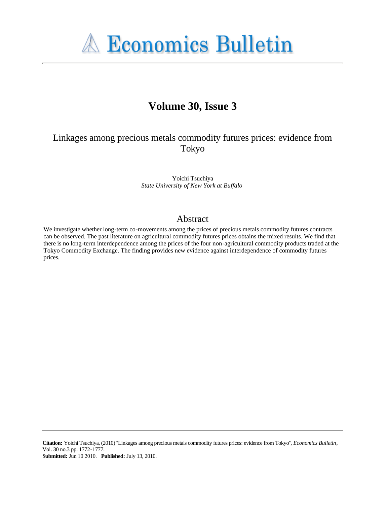**A Economics Bulletin** 

# **Volume 30, Issue 3**

# Linkages among precious metals commodity futures prices: evidence from Tokyo

Yoichi Tsuchiya *State University of New York at Buffalo*

### Abstract

We investigate whether long-term co-movements among the prices of precious metals commodity futures contracts can be observed. The past literature on agricultural commodity futures prices obtains the mixed results. We find that there is no long-term interdependence among the prices of the four non-agricultural commodity products traded at the Tokyo Commodity Exchange. The finding provides new evidence against interdependence of commodity futures prices.

**Citation:** Yoichi Tsuchiya, (2010) ''Linkages among precious metals commodity futures prices: evidence from Tokyo'', *Economics Bulletin*, Vol. 30 no.3 pp. 1772-1777. **Submitted:** Jun 10 2010. **Published:** July 13, 2010.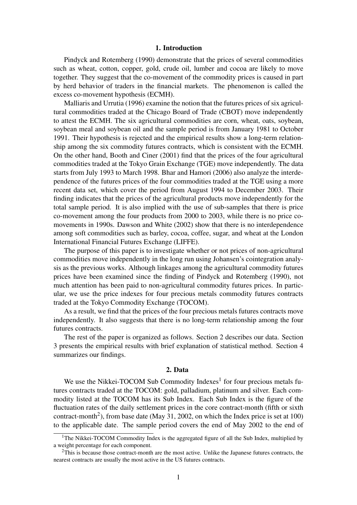#### 1. Introduction

Pindyck and Rotemberg (1990) demonstrate that the prices of several commodities such as wheat, cotton, copper, gold, crude oil, lumber and cocoa are likely to move together. They suggest that the co-movement of the commodity prices is caused in part by herd behavior of traders in the financial markets. The phenomenon is called the excess co-movement hypothesis (ECMH).

Malliaris and Urrutia (1996) examine the notion that the futures prices of six agricultural commodities traded at the Chicago Board of Trade (CBOT) move independently to attest the ECMH. The six agricultural commodities are corn, wheat, oats, soybean, soybean meal and soybean oil and the sample period is from January 1981 to October 1991. Their hypothesis is rejected and the empirical results show a long-term relationship among the six commodity futures contracts, which is consistent with the ECMH. On the other hand, Booth and Ciner (2001) find that the prices of the four agricultural commodities traded at the Tokyo Grain Exchange (TGE) move independently. The data starts from July 1993 to March 1998. Bhar and Hamori (2006) also analyze the interdependence of the futures prices of the four commodities traded at the TGE using a more recent data set, which cover the period from August 1994 to December 2003. Their finding indicates that the prices of the agricultural products move independently for the total sample period. It is also implied with the use of sub-samples that there is price co-movement among the four products from 2000 to 2003, while there is no price comovements in 1990s. Dawson and White (2002) show that there is no interdependence among soft commodities such as barley, cocoa, coffee, sugar, and wheat at the London International Financial Futures Exchange (LIFFE).

The purpose of this paper is to investigate whether or not prices of non-agricultural commodities move independently in the long run using Johansen's cointegration analysis as the previous works. Although linkages among the agricultural commodity futures prices have been examined since the finding of Pindyck and Rotemberg (1990), not much attention has been paid to non-agricultural commodity futures prices. In particular, we use the price indexes for four precious metals commodity futures contracts traded at the Tokyo Commodity Exchange (TOCOM).

As a result, we find that the prices of the four precious metals futures contracts move independently. It also suggests that there is no long-term relationship among the four futures contracts.

The rest of the paper is organized as follows. Section 2 describes our data. Section 3 presents the empirical results with brief explanation of statistical method. Section 4 summarizes our findings.

#### 2. Data

We use the Nikkei-TOCOM Sub Commodity Indexes<sup>1</sup> for four precious metals futures contracts traded at the TOCOM: gold, palladium, platinum and silver. Each commodity listed at the TOCOM has its Sub Index. Each Sub Index is the figure of the fluctuation rates of the daily settlement prices in the core contract-month (fifth or sixth contract-month<sup>2</sup>), from base date (May 31, 2002, on which the Index price is set at 100) to the applicable date. The sample period covers the end of May 2002 to the end of

<sup>&</sup>lt;sup>1</sup>The Nikkei-TOCOM Commodity Index is the aggregated figure of all the Sub Index, multiplied by a weight percentage for each component.

 $2$ This is because those contract-month are the most active. Unlike the Japanese futures contracts, the nearest contracts are usually the most active in the US futures contracts.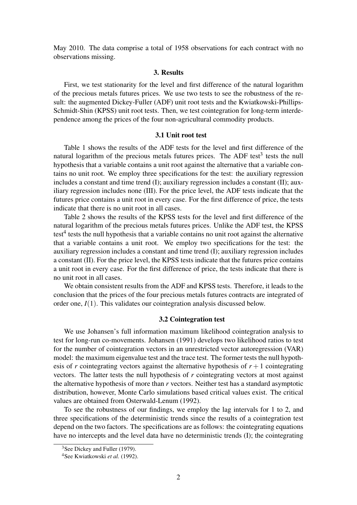May 2010. The data comprise a total of 1958 observations for each contract with no observations missing.

#### 3. Results

First, we test stationarity for the level and first difference of the natural logarithm of the precious metals futures prices. We use two tests to see the robustness of the result: the augmented Dickey-Fuller (ADF) unit root tests and the Kwiatkowski-Phillips-Schmidt-Shin (KPSS) unit root tests. Then, we test cointegration for long-term interdependence among the prices of the four non-agricultural commodity products.

#### 3.1 Unit root test

Table 1 shows the results of the ADF tests for the level and first difference of the natural logarithm of the precious metals futures prices. The ADF test<sup>3</sup> tests the null hypothesis that a variable contains a unit root against the alternative that a variable contains no unit root. We employ three specifications for the test: the auxiliary regression includes a constant and time trend (I); auxiliary regression includes a constant (II); auxiliary regression includes none (III). For the price level, the ADF tests indicate that the futures price contains a unit root in every case. For the first difference of price, the tests indicate that there is no unit root in all cases.

Table 2 shows the results of the KPSS tests for the level and first difference of the natural logarithm of the precious metals futures prices. Unlike the ADF test, the KPSS test<sup>4</sup> tests the null hypothesis that a variable contains no unit root against the alternative that a variable contains a unit root. We employ two specifications for the test: the auxiliary regression includes a constant and time trend (I); auxiliary regression includes a constant (II). For the price level, the KPSS tests indicate that the futures price contains a unit root in every case. For the first difference of price, the tests indicate that there is no unit root in all cases.

We obtain consistent results from the ADF and KPSS tests. Therefore, it leads to the conclusion that the prices of the four precious metals futures contracts are integrated of order one,  $I(1)$ . This validates our cointegration analysis discussed below.

#### 3.2 Cointegration test

We use Johansen's full information maximum likelihood cointegration analysis to test for long-run co-movements. Johansen (1991) develops two likelihood ratios to test for the number of cointegration vectors in an unrestricted vector autoregression (VAR) model: the maximum eigenvalue test and the trace test. The former tests the null hypothesis of *r* cointegrating vectors against the alternative hypothesis of  $r + 1$  cointegrating vectors. The latter tests the null hypothesis of *r* cointegrating vectors at most against the alternative hypothesis of more than *r* vectors. Neither test has a standard asymptotic distribution, however, Monte Carlo simulations based critical values exist. The critical values are obtained from Osterwald-Lenum (1992).

To see the robustness of our findings, we employ the lag intervals for 1 to 2, and three specifications of the deterministic trends since the results of a cointegration test depend on the two factors. The specifications are as follows: the cointegrating equations have no intercepts and the level data have no deterministic trends (I); the cointegrating

<sup>3</sup>See Dickey and Fuller (1979).

<sup>4</sup>See Kwiatkowski *et al.* (1992).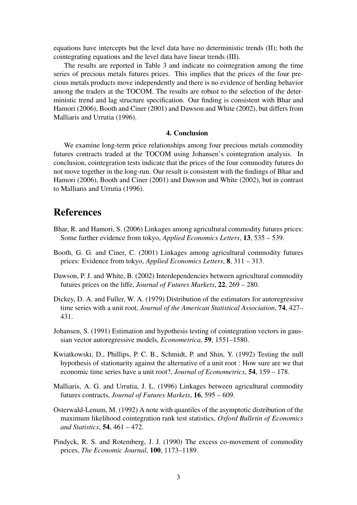equations have intercepts but the level data have no deterministic trends (II); both the cointegrating equations and the level data have linear trends (III).

The results are reported in Table 3 and indicate no cointegration among the time series of precious metals futures prices. This implies that the prices of the four precious metals products move independently and there is no evidence of herding behavior among the traders at the TOCOM. The results are robust to the selection of the deterministic trend and lag structure specification. Our finding is consistent with Bhar and Hamori (2006), Booth and Ciner (2001) and Dawson and White (2002), but differs from Malliaris and Urrutia (1996).

#### 4. Conclusion

We examine long-term price relationships among four precious metals commodity futures contracts traded at the TOCOM using Johansen's cointegration analysis. In conclusion, cointegration tests indicate that the prices of the four commodity futures do not move together in the long-run. Our result is consistent with the findings of Bhar and Hamori (2006), Booth and Ciner (2001) and Dawson and White (2002), but in contrast to Malliaris and Urrutia (1996).

# References

- Bhar, R. and Hamori, S. (2006) Linkages among agricultural commodity futures prices: Some further evidence from tokyo, *Applied Economics Letters*, 13, 535 – 539.
- Booth, G. G. and Ciner, C. (2001) Linkages among agricultural commodity futures prices: Evidence from tokyo, *Applied Economics Letters*, 8, 311 – 313.
- Dawson, P. J. and White, B. (2002) Interdependencies between agricultural commodity futures prices on the liffe, *Journal of Futures Markets*, 22, 269 – 280.
- Dickey, D. A. and Fuller, W. A. (1979) Distribution of the estimators for autoregressive time series with a unit root, *Journal of the American Statistical Association*, 74, 427– 431.
- Johansen, S. (1991) Estimation and hypothesis testing of cointegration vectors in gaussian vector autoregressive models, *Econometrica*, 59, 1551–1580.
- Kwiatkowski, D., Phillips, P. C. B., Schmidt, P. and Shin, Y. (1992) Testing the null hypothesis of stationarity against the alternative of a unit root : How sure are we that economic time series have a unit root?, *Journal of Econometrics*, 54, 159 – 178.
- Malliaris, A. G. and Urrutia, J. L. (1996) Linkages between agricultural commodity futures contracts, *Journal of Futures Markets*, 16, 595 – 609.
- Osterwald-Lenum, M. (1992) A note with quantiles of the asymptotic distribution of the maximum likelihood cointegration rank test statistics, *Oxford Bulletin of Economics and Statistics*, 54, 461 – 472.
- Pindyck, R. S. and Rotemberg, J. J. (1990) The excess co-movement of commodity prices, *The Economic Journal*, 100, 1173–1189.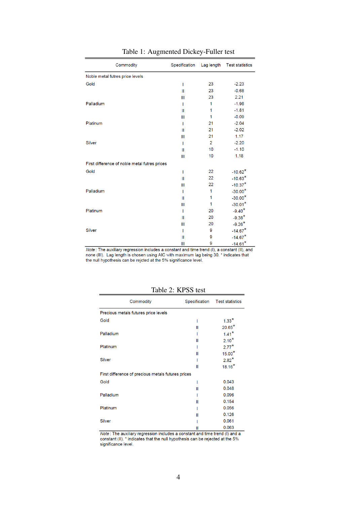| Commodity                                     | Specification | Lag length     | <b>Test statistics</b> |
|-----------------------------------------------|---------------|----------------|------------------------|
| Noble metal futres price levels               |               |                |                        |
| Gold                                          | I             | 23             | $-2.23$                |
|                                               | Ш             | 23             | $-0.68$                |
|                                               | Ш             | 23             | 2.21                   |
| Palladium                                     | I             | 1              | $-1.98$                |
|                                               | Ш             | 1              | $-1.81$                |
|                                               | Ш             | 1              | $-0.09$                |
| Platinum                                      | I             | 21             | $-2.04$                |
|                                               | Ш             | 21             | $-2.02$                |
|                                               | Ш             | 21             | 1.17                   |
| <b>Silver</b>                                 | I             | $\overline{2}$ | $-2.20$                |
|                                               | $\mathbf{II}$ | 10             | $-1.10$                |
|                                               | Ш             | 10             | 1.18                   |
| First difference of noble metal futres prices |               |                |                        |
| Gold                                          | I             | 22             | $-10.62*$              |
|                                               | $\mathbf{II}$ | 22             | $-10.63*$              |
|                                               | III           | 22             | $-10.37*$              |
| Palladium                                     | I             | 1              | $-30.00*$              |
|                                               | Ш             | 1              | $-30.00*$              |
|                                               | Ш             | 1              | $-30.01*$              |
| Platinum                                      | I             | 20             | $-9.40*$               |
|                                               | Ш             | 20             | $-9.38*$               |
|                                               | III           | 20             | $-9.26*$               |
| <b>Silver</b>                                 | I             | 9              | $-14.67*$              |
|                                               | Ш             | 9              | $-14.67*$              |
|                                               | III           | 9              | $-14.61*$              |

### Table 1: Augmented Dickey-Fuller test

Note: The auxiliary regression includes a constant and time trend (I), a constant (II), and<br>none (III). Lag length is chosen using AIC with maximum lag being 30. \* indicates that<br>the null hypothesis can be rejcted at the

| Commodity                                          | Specification | <b>Test statistics</b> |  |
|----------------------------------------------------|---------------|------------------------|--|
| Precious metals futures price levels               |               |                        |  |
| Gold                                               | ı             | $1.33*$                |  |
|                                                    | Ш             | $20.65*$               |  |
| Palladium                                          |               | $1.41*$                |  |
|                                                    | Ш             | $2.10*$                |  |
| Platinum                                           |               | $2.77*$                |  |
|                                                    | Ш             | $15.00*$               |  |
| <b>Silver</b>                                      |               | $2.82*$                |  |
|                                                    | Ш             | $18.16*$               |  |
| First difference of precious metals futures prices |               |                        |  |
| Gold                                               | I             | 0.043                  |  |
|                                                    | Ш             | 0.048                  |  |
| Palladium                                          |               | 0.096                  |  |
|                                                    | Ш             | 0.154                  |  |
| Platinum                                           |               | 0.056                  |  |
|                                                    | Ш             | 0.126                  |  |
| <b>Silver</b>                                      |               | 0.061                  |  |
|                                                    | н             | 0.063                  |  |

Table 2: KPSS test

Note: The auxiliary regression includes a constant and time trend (I) and a<br>constant (II). \* indicates that the null hypothesis can be rejected at the 5% significance level.